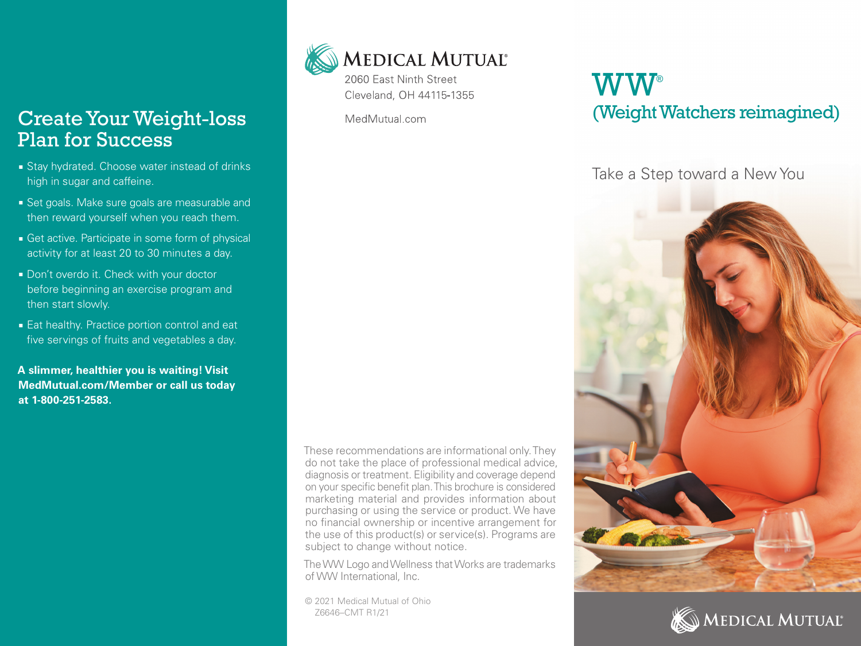## Create Your Weight-loss Plan for Success

- **Example 3 Stay hydrated. Choose water instead of drinks** high in sugar and caffeine.
- **Executer Set goals. Make sure goals are measurable and** then reward yourself when you reach them.
- **Get active. Participate in some form of physical** activity for at least 20 to 30 minutes a day.
- Don't overdo it. Check with your doctor before beginning an exercise program and then start slowly.
- **Eat healthy. Practice portion control and eat** five servings of fruits and vegetables a day.

**A slimmer, healthier you is waiting! Visit MedMutual.com/Member or call us today at 1-800-251-2583.**

> These recommendations are informational only. They do not take the place of professional medical advice, diagnosis or treatment. Eligibility and coverage depend on your specific benefit plan. This brochure is considered marketing material and provides information about purchasing or using the service or product. We have no financial ownership or incentive arrangement for the use of this product(s) or service(s). Programs are subject to change without notice.

MEDICAL MUTUAL®

2060 Fast Ninth Street Cleveland, OH 44115-1355

MedMutual.com

The WW Logo and Wellness that Works are trademarks of WW International, Inc.

© 2021 Medical Mutual of Ohio Z6646–CMT R1/21

## $\mathbf{WW}^\circ$ (Weight Watchers reimagined)

Take a Step toward a New You